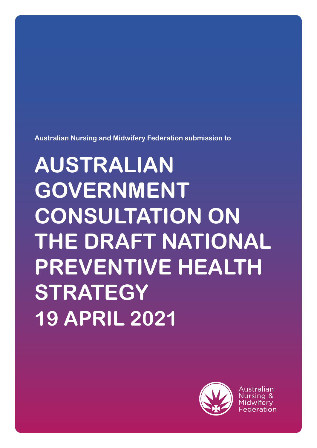

Australian

# **GOVERNMENT CONSULTATION ON THE DRAFT NATIONAL PREVENTIVE HEALTH STRATEGY 19 APRIL 2021**

**Australian Nursing and Midwifery Federation submission to**

**AUSTRALIAN**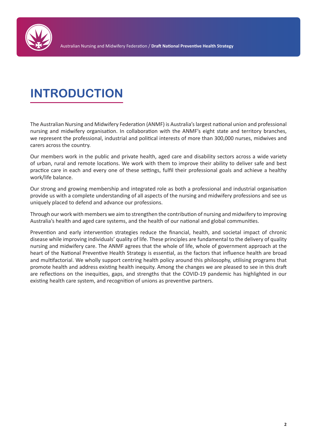

# **INTRODUCTION**

The Australian Nursing and Midwifery Federation (ANMF) is Australia's largest national union and professional nursing and midwifery organisation. In collaboration with the ANMF's eight state and territory branches, we represent the professional, industrial and political interests of more than 300,000 nurses, midwives and carers across the country.

Our members work in the public and private health, aged care and disability sectors across a wide variety of urban, rural and remote locations. We work with them to improve their ability to deliver safe and best practice care in each and every one of these settings, fulfil their professional goals and achieve a healthy work/life balance.

Our strong and growing membership and integrated role as both a professional and industrial organisation provide us with a complete understanding of all aspects of the nursing and midwifery professions and see us uniquely placed to defend and advance our professions.

Through our work with members we aim to strengthen the contribution of nursing and midwifery to improving Australia's health and aged care systems, and the health of our national and global communities.

Prevention and early intervention strategies reduce the financial, health, and societal impact of chronic disease while improving individuals' quality of life. These principles are fundamental to the delivery of quality nursing and midwifery care. The ANMF agrees that the whole of life, whole of government approach at the heart of the National Preventive Health Strategy is essential, as the factors that influence health are broad and multifactorial. We wholly support centring health policy around this philosophy, utilising programs that promote health and address existing health inequity. Among the changes we are pleased to see in this draft are reflections on the inequities, gaps, and strengths that the COVID-19 pandemic has highlighted in our existing health care system, and recognition of unions as preventive partners.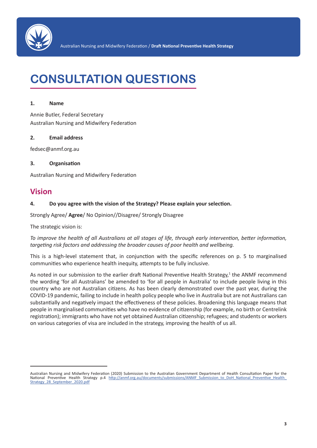

# **CONSULTATION QUESTIONS**

#### **1. Name**

Annie Butler, Federal Secretary Australian Nursing and Midwifery Federation

#### **2. Email address**

fedsec@anmf.org.au

#### **3. Organisation**

Australian Nursing and Midwifery Federation

### **Vision**

#### **4. Do you agree with the vision of the Strategy? Please explain your selection.**

Strongly Agree/ **Agree**/ No Opinion//Disagree/ Strongly Disagree

The strategic vision is:

*To improve the health of all Australians at all stages of life, through early intervention, better information, targeting risk factors and addressing the broader causes of poor health and wellbeing.*

This is a high-level statement that, in conjunction with the specific references on p. 5 to marginalised communities who experience health inequity, attempts to be fully inclusive.

As noted in our submission to the earlier draft National Preventive Health Strategy,<sup>1</sup> the ANMF recommend the wording 'for all Australians' be amended to 'for all people in Australia' to include people living in this country who are not Australian citizens. As has been clearly demonstrated over the past year, during the COVID-19 pandemic, failing to include in health policy people who live in Australia but are not Australians can substantially and negatively impact the effectiveness of these policies. Broadening this language means that people in marginalised communities who have no evidence of citizenship (for example, no birth or Centrelink registration); immigrants who have not yet obtained Australian citizenship; refugees; and students or workers on various categories of visa are included in the strategy, improving the health of us all.

Australian Nursing and Midwifery Federation (2020) Submission to the Australian Government Department of Health Consultation Paper for the National Preventive Health Strategy p.4 http://anmf.org.au/documents/submissions/ANMF Submission to DoH National Preventive Health Strategy\_28\_September\_2020.pdf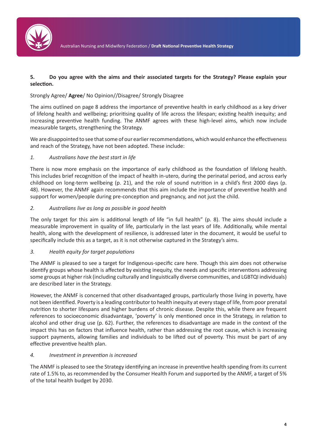

#### **5. Do you agree with the aims and their associated targets for the Strategy? Please explain your selection.**

#### Strongly Agree/ **Agree**/ No Opinion//Disagree/ Strongly Disagree

The aims outlined on page 8 address the importance of preventive health in early childhood as a key driver of lifelong health and wellbeing; prioritising quality of life across the lifespan; existing health inequity; and increasing preventive health funding. The ANMF agrees with these high-level aims, which now include measurable targets, strengthening the Strategy.

We are disappointed to see that some of our earlier recommendations, which would enhance the effectiveness and reach of the Strategy, have not been adopted. These include:

#### *1. Australians have the best start in life*

There is now more emphasis on the importance of early childhood as the foundation of lifelong health. This includes brief recognition of the impact of health in-utero, during the perinatal period, and across early childhood on long-term wellbeing (p. 21), and the role of sound nutrition in a child's first 2000 days (p. 48). However, the ANMF again recommends that this aim include the importance of preventive health and support for women/people during pre-conception and pregnancy, and not just the child.

#### *2. Australians live as long as possible in good health*

The only target for this aim is additional length of life "in full health" (p. 8). The aims should include a measurable improvement in quality of life, particularly in the last years of life. Additionally, while mental health, along with the development of resilience, is addressed later in the document, it would be useful to specifically include this as a target, as it is not otherwise captured in the Strategy's aims.

#### *3. Health equity for target populations*

The ANMF is pleased to see a target for Indigenous-specific care here. Though this aim does not otherwise identify groups whose health is affected by existing inequity, the needs and specific interventions addressing some groups at higher risk (including culturally and linguistically diverse communities, and LGBTQI individuals) are described later in the Strategy.

However, the ANMF is concerned that other disadvantaged groups, particularly those living in poverty, have not been identified. Poverty is a leading contributor to health inequity at every stage of life, from poor prenatal nutrition to shorter lifespans and higher burdens of chronic disease. Despite this, while there are frequent references to socioeconomic disadvantage, 'poverty' is only mentioned once in the Strategy, in relation to alcohol and other drug use (p. 62). Further, the references to disadvantage are made in the context of the impact this has on factors that influence health, rather than addressing the root cause, which is increasing support payments, allowing families and individuals to be lifted out of poverty. This must be part of any effective preventive health plan.

#### *4. Investment in prevention is increased*

The ANMF is pleased to see the Strategy identifying an increase in preventive health spending from its current rate of 1.5% to, as recommended by the Consumer Health Forum and supported by the ANMF, a target of 5% of the total health budget by 2030.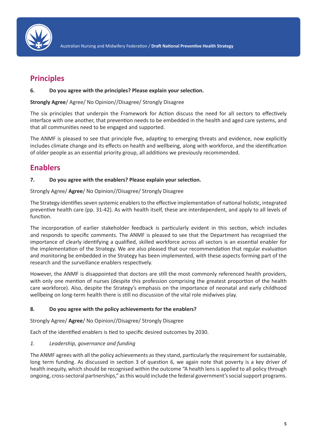

### **Principles**

#### **6. Do you agree with the principles? Please explain your selection.**

**Strongly Agree**/ Agree/ No Opinion//Disagree/ Strongly Disagree

The six principles that underpin the Framework for Action discuss the need for all sectors to effectively interface with one another, that prevention needs to be embedded in the health and aged care systems, and that all communities need to be engaged and supported.

The ANMF is pleased to see that principle five, adapting to emerging threats and evidence, now explicitly includes climate change and its effects on health and wellbeing, along with workforce, and the identification of older people as an essential priority group, all additions we previously recommended.

### **Enablers**

#### **7. Do you agree with the enablers? Please explain your selection.**

#### Strongly Agree/ **Agree**/ No Opinion//Disagree/ Strongly Disagree

The Strategy identifies seven systemic enablers to the effective implementation of national holistic, integrated preventive health care (pp. 31-42). As with health itself, these are interdependent, and apply to all levels of function.

The incorporation of earlier stakeholder feedback is particularly evident in this section, which includes and responds to specific comments. The ANMF is pleased to see that the Department has recognised the importance of clearly identifying a qualified, skilled workforce across all sectors is an essential enabler for the implementation of the Strategy. We are also pleased that our recommendation that regular evaluation and monitoring be embedded in the Strategy has been implemented, with these aspects forming part of the research and the surveillance enablers respectively.

However, the ANMF is disappointed that doctors are still the most commonly referenced health providers, with only one mention of nurses (despite this profession comprising the greatest proportion of the health care workforce). Also, despite the Strategy's emphasis on the importance of neonatal and early childhood wellbeing on long-term health there is still no discussion of the vital role midwives play.

#### **8. Do you agree with the policy achievements for the enablers?**

Strongly Agree/ **Agree**/ No Opinion//Disagree/ Strongly Disagree

Each of the identified enablers is tied to specific desired outcomes by 2030.

#### *1. Leadership, governance and funding*

The ANMF agrees with all the policy achievements as they stand, particularly the requirement for sustainable, long term funding. As discussed in section 3 of question 6, we again note that poverty is a key driver of health inequity, which should be recognised within the outcome "A health lens is applied to all policy through ongoing, cross-sectoral partnerships," as this would include the federal government's social support programs.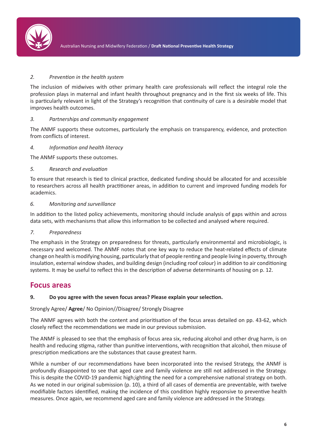

#### *2. Prevention in the health system*

The inclusion of midwives with other primary health care professionals will reflect the integral role the profession plays in maternal and infant health throughout pregnancy and in the first six weeks of life. This is particularly relevant in light of the Strategy's recognition that continuity of care is a desirable model that improves health outcomes.

#### *3. Partnerships and community engagement*

The ANMF supports these outcomes, particularly the emphasis on transparency, evidence, and protection from conflicts of interest.

#### *4. Information and health literacy*

The ANMF supports these outcomes.

#### *5. Research and evaluation*

To ensure that research is tied to clinical practice, dedicated funding should be allocated for and accessible to researchers across all health practitioner areas, in addition to current and improved funding models for academics.

#### *6. Monitoring and surveillance*

In addition to the listed policy achievements, monitoring should include analysis of gaps within and across data sets, with mechanisms that allow this information to be collected and analysed where required.

#### *7. Preparedness*

The emphasis in the Strategy on preparedness for threats, particularly environmental and microbiologic, is necessary and welcomed. The ANMF notes that one key way to reduce the heat-related effects of climate change on health is modifying housing, particularly that of people renting and people living in poverty, through insulation, external window shades, and building design (including roof colour) in addition to air conditioning systems. It may be useful to reflect this in the description of adverse determinants of housing on p. 12.

#### **Focus areas**

#### **9. Do you agree with the seven focus areas? Please explain your selection.**

#### Strongly Agree/ **Agree**/ No Opinion//Disagree/ Strongly Disagree

The ANMF agrees with both the content and prioritisation of the focus areas detailed on pp. 43-62, which closely reflect the recommendations we made in our previous submission.

The ANMF is pleased to see that the emphasis of focus area six, reducing alcohol and other drug harm, is on health and reducing stigma, rather than punitive interventions, with recognition that alcohol, then misuse of prescription medications are the substances that cause greatest harm.

While a number of our recommendations have been incorporated into the revised Strategy, the ANMF is profoundly disappointed to see that aged care and family violence are still not addressed in the Strategy. This is despite the COVID-19 pandemic high;ighting the need for a comprehensive national strategy on both. As we noted in our original submission (p. 10), a third of all cases of dementia are preventable, with twelve modifiable factors identified, making the incidence of this condition highly responsive to preventive health measures. Once again, we recommend aged care and family violence are addressed in the Strategy.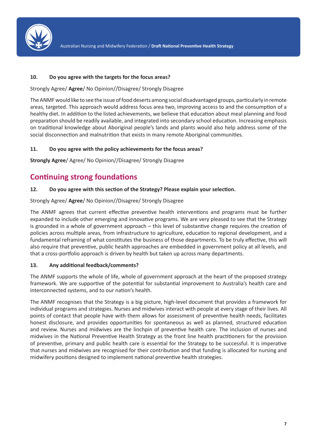

#### **10. Do you agree with the targets for the focus areas?**

Strongly Agree/ **Agree**/ No Opinion//Disagree/ Strongly Disagree

The ANMF would like to see the issue of food deserts among social disadvantaged groups, particularly in remote areas, targeted. This approach would address focus area two, improving access to and the consumption of a healthy diet. In addition to the listed achievements, we believe that education about meal planning and food preparation should be readily available, and integrated into secondary school education. Increasing emphasis on traditional knowledge about Aboriginal people's lands and plants would also help address some of the social disconnection and malnutrition that exists in many remote Aboriginal communities.

#### **11. Do you agree with the policy achievements for the focus areas?**

**Strongly Agree**/ Agree/ No Opinion//Disagree/ Strongly Disagree

## **Continuing strong foundations**

#### **12. Do you agree with this section of the Strategy? Please explain your selection.**

#### Strongly Agree/ **Agree**/ No Opinion//Disagree/ Strongly Disagree

The ANMF agrees that current effective preventive health interventions and programs must be further expanded to include other emerging and innovative programs. We are very pleased to see that the Strategy is grounded in a whole of government approach – this level of substantive change requires the creation of policies across multiple areas, from infrastructure to agriculture, education to regional development, and a fundamental reframing of what constitutes the business of those departments. To be truly effective, this will also require that preventive, public health approaches are embedded in government policy at all levels, and that a cross-portfolio approach is driven by health but taken up across many departments.

#### **13. Any additional feedback/comments?**

The ANMF supports the whole of life, whole of government approach at the heart of the proposed strategy framework. We are supportive of the potential for substantial improvement to Australia's health care and interconnected systems, and to our nation's health.

The ANMF recognises that the Strategy is a big picture, high-level document that provides a framework for individual programs and strategies. Nurses and midwives interact with people at every stage of their lives. All points of contact that people have with them allows for assessment of preventive health needs, facilitates honest disclosure, and provides opportunities for spontaneous as well as planned, structured education and review. Nurses and midwives are the linchpin of preventive health care. The inclusion of nurses and midwives in the National Preventive Health Strategy as the front line health practitioners for the provision of preventive, primary and public health care is essential for the Strategy to be successful. It is imperative that nurses and midwives are recognised for their contribution and that funding is allocated for nursing and midwifery positions designed to implement national preventive health strategies.